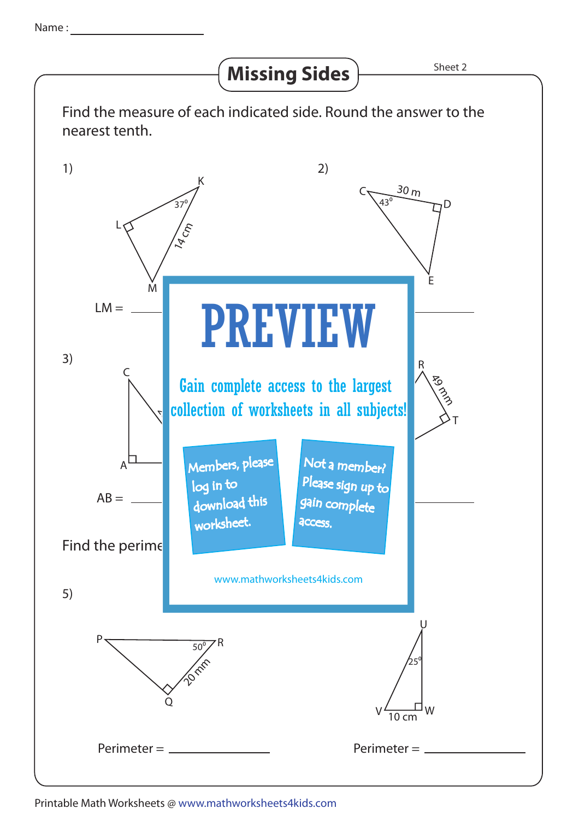